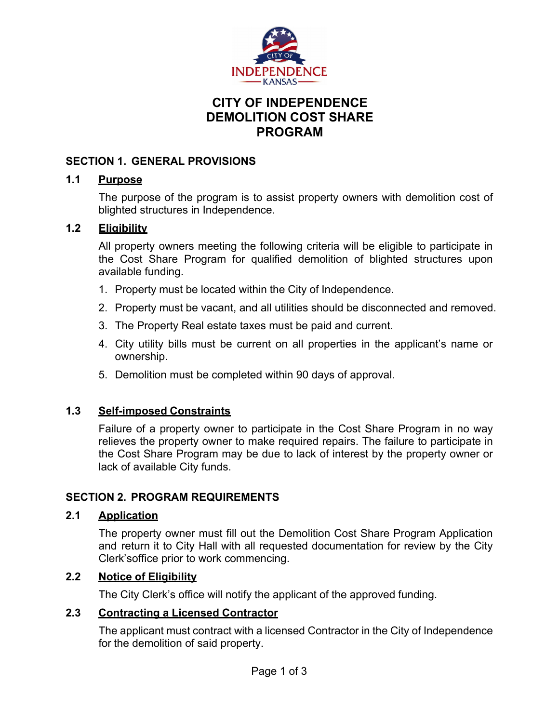

# **CITY OF INDEPENDENCE DEMOLITION COST SHARE PROGRAM**

### **SECTION 1. GENERAL PROVISIONS**

#### **1.1 Purpose**

The purpose of the program is to assist property owners with demolition cost of blighted structures in Independence.

## **1.2 Eligibility**

All property owners meeting the following criteria will be eligible to participate in the Cost Share Program for qualified demolition of blighted structures upon available funding.

- 1. Property must be located within the City of Independence.
- 2. Property must be vacant, and all utilities should be disconnected and removed.
- 3. The Property Real estate taxes must be paid and current.
- 4. City utility bills must be current on all properties in the applicant's name or ownership.
- 5. Demolition must be completed within 90 days of approval.

#### **1.3 Self-imposed Constraints**

Failure of a property owner to participate in the Cost Share Program in no way relieves the property owner to make required repairs. The failure to participate in the Cost Share Program may be due to lack of interest by the property owner or lack of available City funds.

## **SECTION 2. PROGRAM REQUIREMENTS**

## **2.1 Application**

The property owner must fill out the Demolition Cost Share Program Application and return it to City Hall with all requested documentation for review by the City Clerk's office prior to work commencing.

## **2.2 Notice of Eligibility**

The City Clerk's office will notify the applicant of the approved funding.

#### **2.3 Contracting a Licensed Contractor**

The applicant must contract with a licensed Contractor in the City of Independence for the demolition of said property.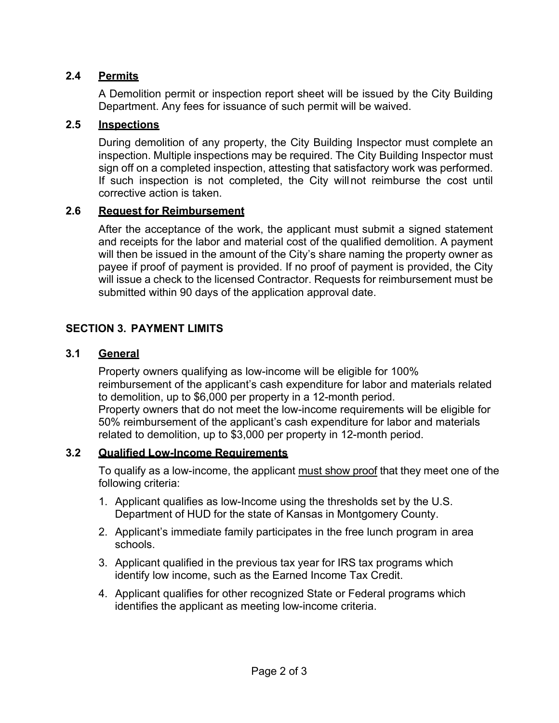## **2.4 Permits**

A Demolition permit or inspection report sheet will be issued by the City Building Department. Any fees for issuance of such permit will be waived.

### **2.5 Inspections**

During demolition of any property, the City Building Inspector must complete an inspection. Multiple inspections may be required. The City Building Inspector must sign off on a completed inspection, attesting that satisfactory work was performed. If such inspection is not completed, the City will not reimburse the cost until corrective action is taken.

### **2.6 Request for Reimbursement**

After the acceptance of the work, the applicant must submit a signed statement and receipts for the labor and material cost of the qualified demolition. A payment will then be issued in the amount of the City's share naming the property owner as payee if proof of payment is provided. If no proof of payment is provided, the City will issue a check to the licensed Contractor. Requests for reimbursement must be submitted within 90 days of the application approval date.

## **SECTION 3. PAYMENT LIMITS**

## **3.1 General**

Property owners qualifying as low-income will be eligible for 100% reimbursement of the applicant's cash expenditure for labor and materials related to demolition, up to \$6,000 per property in a 12-month period. Property owners that do not meet the low-income requirements will be eligible for 50% reimbursement of the applicant's cash expenditure for labor and materials related to demolition, up to \$3,000 per property in 12-month period.

#### **3.2 Qualified Low-Income Requirements**

To qualify as a low-income, the applicant must show proof that they meet one of the following criteria:

- 1. Applicant qualifies as low-Income using the thresholds set by the U.S. Department of HUD for the state of Kansas in Montgomery County.
- 2. Applicant's immediate family participates in the free lunch program in area schools.
- 3. Applicant qualified in the previous tax year for IRS tax programs which identify low income, such as the Earned Income Tax Credit.
- 4. Applicant qualifies for other recognized State or Federal programs which identifies the applicant as meeting low-income criteria.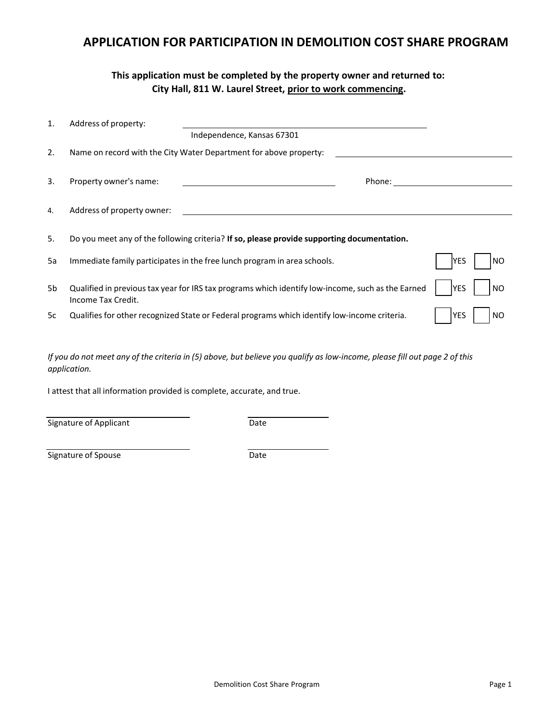## **APPLICATION FOR PARTICIPATION IN DEMOLITION COST SHARE PROGRAM**

### **This application must be completed by the property owner and returned to: City Hall, 811 W. Laurel Street, prior to work commencing.**

| 1. | Address of property:       |                                                                                                   |             |     |
|----|----------------------------|---------------------------------------------------------------------------------------------------|-------------|-----|
|    |                            | Independence, Kansas 67301                                                                        |             |     |
| 2. |                            | Name on record with the City Water Department for above property:                                 |             |     |
| 3. | Property owner's name:     | Phone: _____________                                                                              |             |     |
| 4. | Address of property owner: |                                                                                                   |             |     |
| 5. |                            | Do you meet any of the following criteria? If so, please provide supporting documentation.        |             |     |
| 5a |                            | Immediate family participates in the free lunch program in area schools.                          | IYES        | NO  |
| 5b | Income Tax Credit.         | Qualified in previous tax year for IRS tax programs which identify low-income, such as the Earned | <b>IYES</b> | NO. |
| 5c |                            | Qualifies for other recognized State or Federal programs which identify low-income criteria.      | YES         | NO  |

If you do not meet any of the criteria in (5) above, but believe you qualify as low-income, please fill out page 2 of this *application.*

I attest that all information provided is complete, accurate, and true.

Signature of Applicant Date

Signature of Spouse Date